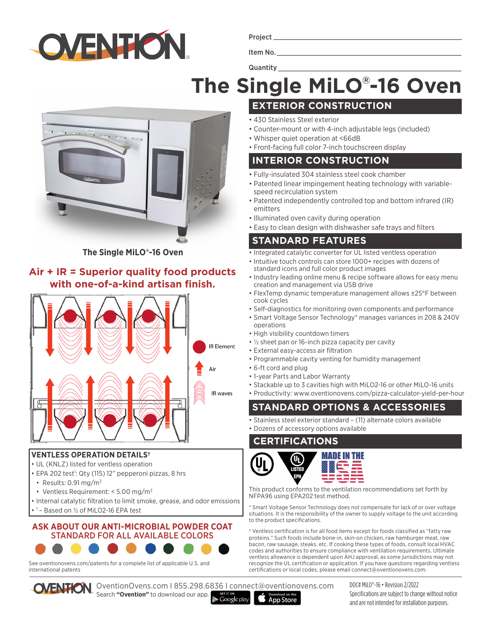

Project

Item No.

# **The Single MiLO® -16 Oven**



**The Single MiLO®-16 Oven**

## **Air + IR = Superior quality food products with one-of-a-kind artisan finish.**



#### **VENTLESS OPERATION DETAILS†**

- UL (KNLZ) listed for ventless operation
- EPA 202 test<sup>1</sup>: Qty (115) 12" pepperoni pizzas, 8 hrs
- Results:  $0.91 \,\mathrm{mg/m^3}$
- Ventless Requirement: < 5.00 mg/m<sup>3</sup>
- Internal catalytic filtration to limit smoke, grease, and odor emissions
- 1 Based on ½ of MiLO2-16 EPA test

#### **ASK ABOUT OUR ANTI-MICROBIAL POWDER COAT**  STANDARD FOR ALL AVAILABLE COLORS



See oventionovens.com/patents for a complete list of applicable U.S. and international patents

OventionOvens.com I 855.298.6836 I connect@oventionovens.com Search **"Ovention"** to download our app.

**Quantity** 

- **EXTERIOR CONSTRUCTION**
- 430 Stainless Steel exterior
- Counter-mount or with 4-inch adjustable legs (included)
- Whisper quiet operation at <66dB
- Front-facing full color 7-inch touchscreen display

### **INTERIOR CONSTRUCTION**

- Fully-insulated 304 stainless steel cook chamber
- Patented linear impingement heating technology with variablespeed recirculation system
- Patented independently controlled top and bottom infrared (IR) emitters
- Illuminated oven cavity during operation
- Easy to clean design with dishwasher safe trays and filters

# **STANDARD FEATURES**

- Integrated catalytic converter for UL listed ventless operation
- Intuitive touch controls can store 1000+ recipes with dozens of standard icons and full color product images
- Industry leading online menu & recipe software allows for easy menu creation and management via USB drive
- FlexTemp dynamic temperature management allows ±25°F between cook cycles
- Self-diagnostics for monitoring oven components and performance
- Smart Voltage Sensor Technology\* manages variances in 208 & 240V operations
- High visibility countdown timers
- ½ sheet pan or 16-inch pizza capacity per cavity
- External easy-access air filtration
- Programmable cavity venting for humidity management
- 6-ft cord and plug
- 1-year Parts and Labor Warranty
- Stackable up to 3 cavities high with MiLO2-16 or other MiLO-16 units
- Productivity: www.oventionovens.com/pizza-calculator-yield-per-hour

# **STANDARD OPTIONS & ACCESSORIES**

- Stainless steel exterior standard (11) alternate colors available
- Dozens of accessory options available

### **CERTIFICATIONS**



This product conforms to the ventilation recommendations set forth by NFPA96 using EPA202 test method.

Smart Voltage Sensor Technology does not compensate for lack of or over voltage situations. It is the responsibility of the owner to supply voltage to the unit according to the product specifications.

† Ventless certification is for all food items except for foods classified as "fatty raw proteins." Such foods include bone-in, skin-on chicken, raw hamburger meat, raw bacon, raw sausage, steaks, etc. If cooking these types of foods, consult local HVAC codes and authorities to ensure compliance with ventilation requirements. Ultimate ventless allowance is dependent upon AHJ approval, as some jurisdictions may not recognize the UL certification or application. If you have questions regarding ventless certifications or local codes, please email connect@oventionovens.com.

Google play **App Store**  DOC# MiLO®-16 • Revision 2/2022 Specifications are subject to change without notice and are not intended for installation purposes.